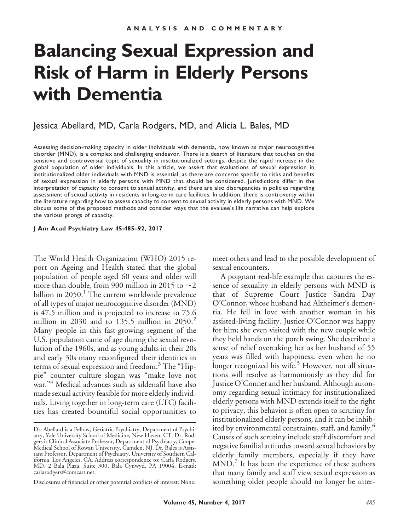# **Balancing Sexual Expression and Risk of Harm in Elderly Persons with Dementia**

## Jessica Abellard, MD, Carla Rodgers, MD, and Alicia L. Bales, MD

Assessing decision-making capacity in older individuals with dementia, now known as major neurocognitive disorder (MND), is a complex and challenging endeavor. There is a dearth of literature that touches on the sensitive and controversial topic of sexuality in institutionalized settings, despite the rapid increase in the global population of older individuals. In this article, we assert that evaluations of sexual expression in institutionalized older individuals with MND is essential, as there are concerns specific to risks and benefits of sexual expression in elderly persons with MND that should be considered. Jurisdictions differ in the interpretation of capacity to consent to sexual activity, and there are also discrepancies in policies regarding assessment of sexual activity in residents in long-term care facilities. In addition, there is controversy within the literature regarding how to assess capacity to consent to sexual activity in elderly persons with MND. We discuss some of the proposed methods and consider ways that the evaluee's life narrative can help explore the various prongs of capacity.

#### **J Am Acad Psychiatry Law 45:485–92, 2017**

The World Health Organization (WHO) 2015 report on Ageing and Health stated that the global population of people aged 60 years and older will more than double, from 900 million in 2015 to  ${\sim}2$ billion in  $2050$ .<sup>1</sup> The current worldwide prevalence of all types of major neurocognitive disorder (MND) is 47.5 million and is projected to increase to 75.6 million in 2030 and to 135.5 million in  $2050<sup>2</sup>$ Many people in this fast-growing segment of the U.S. population came of age during the sexual revolution of the 1960s, and as young adults in their 20s and early 30s many reconfigured their identities in terms of sexual expression and freedom.<sup>3</sup> The "Hippie" counter culture slogan was "make love not war."<sup>4</sup> Medical advances such as sildenafil have also made sexual activity feasible for more elderly individuals. Living together in long-term care (LTC) facilities has created bountiful social opportunities to

Disclosures of financial or other potential conflicts of interest: None.

meet others and lead to the possible development of sexual encounters.

A poignant real-life example that captures the essence of sexuality in elderly persons with MND is that of Supreme Court Justice Sandra Day O'Connor, whose husband had Alzheimer's dementia. He fell in love with another woman in his assisted-living facility. Justice O'Connor was happy for him; she even visited with the new couple while they held hands on the porch swing. She described a sense of relief overtaking her as her husband of 55 years was filled with happiness, even when he no longer recognized his wife.<sup>5</sup> However, not all situations will resolve as harmoniously as they did for Justice O'Conner and her husband. Although autonomy regarding sexual intimacy for institutionalized elderly persons with MND extends itself to the right to privacy, this behavior is often open to scrutiny for institutionalized elderly persons, and it can be inhibited by environmental constraints, staff, and family.<sup>6</sup> Causes of such scrutiny include staff discomfort and negative familial attitudes toward sexual behaviors by elderly family members, especially if they have  $MND.$  It has been the experience of these authors that many family and staff view sexual expression as something older people should no longer be inter-

Dr. Abellard is a Fellow, Geriatric Psychiatry, Department of Psychiatry, Yale University School of Medicine, New Haven, CT. Dr. Rodgers is Clinical Associate Professor, Department of Psychiatry, Cooper Medical School of Rowan University, Camden, NJ. Dr. Bales is Assistant Professor, Department of Psychiatry, University of Southern California, Los Angeles, CA. Address correspondence to: Carla Rodgers, MD, 2 Bala Plaza, Suite 300, Bala Cynwyd, PA 19004. E-mail: carlarodgers@comcast.net.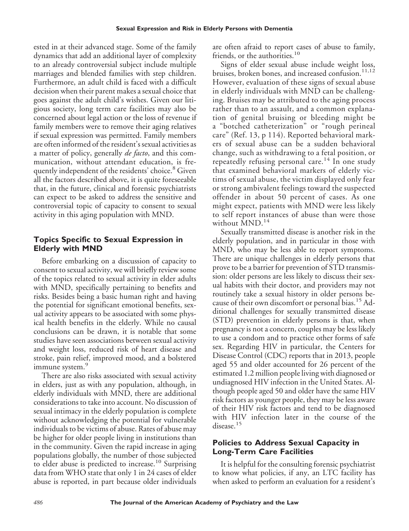ested in at their advanced stage. Some of the family dynamics that add an additional layer of complexity to an already controversial subject include multiple marriages and blended families with step children. Furthermore, an adult child is faced with a difficult decision when their parent makes a sexual choice that goes against the adult child's wishes. Given our litigious society, long term care facilities may also be concerned about legal action or the loss of revenue if family members were to remove their aging relatives if sexual expression was permitted. Family members are often informed of the resident's sexual activities as a matter of policy, generally *de facto*, and this communication, without attendant education, is frequently independent of the residents' choice.<sup>8</sup> Given all the factors described above, it is quite foreseeable that, in the future, clinical and forensic psychiatrists can expect to be asked to address the sensitive and controversial topic of capacity to consent to sexual activity in this aging population with MND.

#### **Topics Specific to Sexual Expression in Elderly with MND**

Before embarking on a discussion of capacity to consent to sexual activity, we will briefly review some of the topics related to sexual activity in elder adults with MND, specifically pertaining to benefits and risks. Besides being a basic human right and having the potential for significant emotional benefits, sexual activity appears to be associated with some physical health benefits in the elderly. While no causal conclusions can be drawn, it is notable that some studies have seen associations between sexual activity and weight loss, reduced risk of heart disease and stroke, pain relief, improved mood, and a bolstered immune system.<sup>9</sup>

There are also risks associated with sexual activity in elders, just as with any population, although, in elderly individuals with MND, there are additional considerations to take into account. No discussion of sexual intimacy in the elderly population is complete without acknowledging the potential for vulnerable individuals to be victims of abuse. Rates of abuse may be higher for older people living in institutions than in the community. Given the rapid increase in aging populations globally, the number of those subjected to elder abuse is predicted to increase.<sup>10</sup> Surprising data from WHO state that only 1 in 24 cases of elder abuse is reported, in part because older individuals

are often afraid to report cases of abuse to family, friends, or the authorities.<sup>10</sup>

Signs of elder sexual abuse include weight loss, bruises, broken bones, and increased confusion.<sup>11,12</sup> However, evaluation of these signs of sexual abuse in elderly individuals with MND can be challenging. Bruises may be attributed to the aging process rather than to an assault, and a common explanation of genital bruising or bleeding might be a "botched catheterization" or "rough perineal care" (Ref. 13, p 114). Reported behavioral markers of sexual abuse can be a sudden behavioral change, such as withdrawing to a fetal position, or repeatedly refusing personal care.<sup>14</sup> In one study that examined behavioral markers of elderly victims of sexual abuse, the victim displayed only fear or strong ambivalent feelings toward the suspected offender in about 50 percent of cases. As one might expect, patients with MND were less likely to self report instances of abuse than were those without MND.<sup>14</sup>

Sexually transmitted disease is another risk in the elderly population, and in particular in those with MND, who may be less able to report symptoms. There are unique challenges in elderly persons that prove to be a barrier for prevention of STD transmission: older persons are less likely to discuss their sexual habits with their doctor, and providers may not routinely take a sexual history in older persons because of their own discomfort or personal bias.<sup>15</sup> Additional challenges for sexually transmitted disease (STD) prevention in elderly persons is that, when pregnancy is not a concern, couples may be less likely to use a condom and to practice other forms of safe sex. Regarding HIV in particular, the Centers for Disease Control (CDC) reports that in 2013, people aged 55 and older accounted for 26 percent of the estimated 1.2 million people living with diagnosed or undiagnosed HIV infection in the United States. Although people aged 50 and older have the same HIV risk factors as younger people, they may be less aware of their HIV risk factors and tend to be diagnosed with HIV infection later in the course of the disease.<sup>15</sup>

#### **Policies to Address Sexual Capacity in Long-Term Care Facilities**

It is helpful for the consulting forensic psychiatrist to know what policies, if any, an LTC facility has when asked to perform an evaluation for a resident's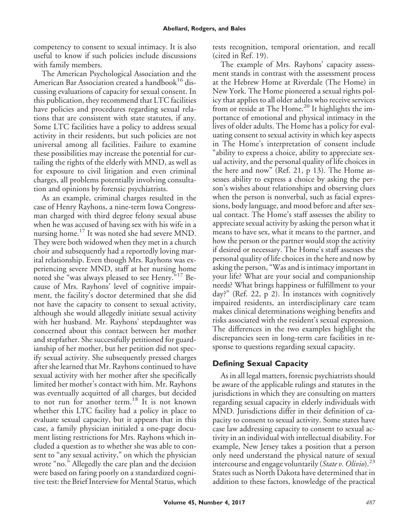competency to consent to sexual intimacy. It is also useful to know if such policies include discussions with family members.

The American Psychological Association and the American Bar Association created a handbook<sup>16</sup> discussing evaluations of capacity for sexual consent. In this publication, they recommend that LTC facilities have policies and procedures regarding sexual relations that are consistent with state statutes, if any. Some LTC facilities have a policy to address sexual activity in their residents, but such policies are not universal among all facilities. Failure to examine these possibilities may increase the potential for curtailing the rights of the elderly with MND, as well as for exposure to civil litigation and even criminal charges, all problems potentially involving consultation and opinions by forensic psychiatrists.

As an example, criminal charges resulted in the case of Henry Rayhons, a nine-term Iowa Congressman charged with third degree felony sexual abuse when he was accused of having sex with his wife in a nursing home.<sup>17</sup> It was noted she had severe MND. They were both widowed when they met in a church choir and subsequently had a reportedly loving marital relationship. Even though Mrs. Rayhons was experiencing severe MND, staff at her nursing home noted she "was always pleased to see Henry."<sup>17</sup> Because of Mrs. Rayhons' level of cognitive impairment, the facility's doctor determined that she did not have the capacity to consent to sexual activity, although she would allegedly initiate sexual activity with her husband. Mr. Rayhons' stepdaughter was concerned about this contact between her mother and stepfather. She successfully petitioned for guardianship of her mother, but her petition did not specify sexual activity. She subsequently pressed charges after she learned that Mr. Rayhons continued to have sexual activity with her mother after she specifically limited her mother's contact with him. Mr. Rayhons was eventually acquitted of all charges, but decided to not run for another term.<sup>18</sup> It is not known whether this LTC facility had a policy in place to evaluate sexual capacity, but it appears that in this case, a family physician initialed a one-page document listing restrictions for Mrs. Rayhons which included a question as to whether she was able to consent to "any sexual activity," on which the physician wrote "no." Allegedly the care plan and the decision were based on faring poorly on a standardized cognitive test: the Brief Interview for Mental Status, which tests recognition, temporal orientation, and recall (cited in Ref. 19).

The example of Mrs. Rayhons' capacity assessment stands in contrast with the assessment process at the Hebrew Home at Riverdale (The Home) in New York. The Home pioneered a sexual rights policy that applies to all older adults who receive services from or reside at The Home.<sup>20</sup> It highlights the importance of emotional and physical intimacy in the lives of older adults. The Home has a policy for evaluating consent to sexual activity in which key aspects in The Home's interpretation of consent include "ability to express a choice, ability to appreciate sexual activity, and the personal quality of life choices in the here and now" (Ref. 21, p 13). The Home assesses ability to express a choice by asking the person's wishes about relationships and observing clues when the person is nonverbal, such as facial expressions, body language, and mood before and after sexual contact. The Home's staff assesses the ability to appreciate sexual activity by asking the person what it means to have sex, what it means to the partner, and how the person or the partner would stop the activity if desired or necessary. The Home's staff assesses the personal quality of life choices in the here and now by asking the person, "Was and is intimacy important in your life? What are your social and companionship needs? What brings happiness or fulfillment to your day?" (Ref. 22, p 2). In instances with cognitively impaired residents, an interdisciplinary care team makes clinical determinations weighing benefits and risks associated with the resident's sexual expression. The differences in the two examples highlight the discrepancies seen in long-term care facilities in response to questions regarding sexual capacity.

### **Defining Sexual Capacity**

As in all legal matters, forensic psychiatrists should be aware of the applicable rulings and statutes in the jurisdictions in which they are consulting on matters regarding sexual capacity in elderly individuals with MND. Jurisdictions differ in their definition of capacity to consent to sexual activity. Some states have case law addressing capacity to consent to sexual activity in an individual with intellectual disability. For example, New Jersey takes a position that a person only need understand the physical nature of sexual intercourse and engage voluntarily (*State v. Olivio*).23 States such as North Dakota have determined that in addition to these factors, knowledge of the practical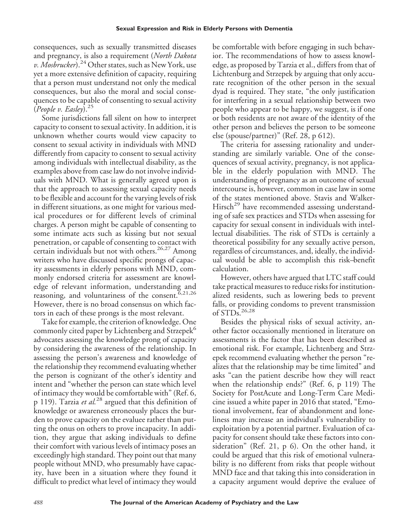consequences, such as sexually transmitted diseases and pregnancy, is also a requirement (*North Dakota v. Mosbrucker*).<sup>24</sup> Other states, such as New York, use yet a more extensive definition of capacity, requiring that a person must understand not only the medical consequences, but also the moral and social consequences to be capable of consenting to sexual activity (*People v. Easley*).<sup>25</sup>

Some jurisdictions fall silent on how to interpret capacity to consent to sexual activity. In addition, it is unknown whether courts would view capacity to consent to sexual activity in individuals with MND differently from capacity to consent to sexual activity among individuals with intellectual disability, as the examples above from case law do not involve individuals with MND. What is generally agreed upon is that the approach to assessing sexual capacity needs to be flexible and account for the varying levels of risk in different situations, as one might for various medical procedures or for different levels of criminal charges. A person might be capable of consenting to some intimate acts such as kissing but not sexual penetration, or capable of consenting to contact with certain individuals but not with others.<sup>26,27</sup> Among writers who have discussed specific prongs of capacity assessments in elderly persons with MND, commonly endorsed criteria for assessment are knowledge of relevant information, understanding and reasoning, and voluntariness of the consent.<sup>6,21,26</sup> However, there is no broad consensus on which factors in each of these prongs is the most relevant.

Take for example, the criterion of knowledge. One commonly cited paper by Lichtenberg and Strzepek<sup>6</sup> advocates assessing the knowledge prong of capacity by considering the awareness of the relationship. In assessing the person's awareness and knowledge of the relationship they recommend evaluating whether the person is cognizant of the other's identity and intent and "whether the person can state which level of intimacy they would be comfortable with" (Ref. 6, p 119). Tarzia *et al.*<sup>28</sup> argued that this definition of knowledge or awareness erroneously places the burden to prove capacity on the evaluee rather than putting the onus on others to prove incapacity. In addition, they argue that asking individuals to define their comfort with various levels of intimacy poses an exceedingly high standard. They point out that many people without MND, who presumably have capacity, have been in a situation where they found it difficult to predict what level of intimacy they would

be comfortable with before engaging in such behavior. The recommendations of how to assess knowledge, as proposed by Tarzia et al., differs from that of Lichtenburg and Strzepek by arguing that only accurate recognition of the other person in the sexual dyad is required. They state, "the only justification for interfering in a sexual relationship between two people who appear to be happy, we suggest, is if one or both residents are not aware of the identity of the other person and believes the person to be someone else (spouse/partner)" (Ref. 28, p 612).

The criteria for assessing rationality and understanding are similarly variable. One of the consequences of sexual activity, pregnancy, is not applicable in the elderly population with MND. The understanding of pregnancy as an outcome of sexual intercourse is, however, common in case law in some of the states mentioned above. Stavis and Walker-Hirsch<sup>29</sup> have recommended assessing understanding of safe sex practices and STDs when assessing for capacity for sexual consent in individuals with intellectual disabilities. The risk of STDs is certainly a theoretical possibility for any sexually active person, regardless of circumstances, and, ideally, the individual would be able to accomplish this risk–benefit calculation.

However, others have argued that LTC staff could take practical measures to reduce risks for institutionalized residents, such as lowering beds to prevent falls, or providing condoms to prevent transmission of STDs.26,28

Besides the physical risks of sexual activity, another factor occasionally mentioned in literature on assessments is the factor that has been described as emotional risk. For example, Lichtenberg and Strzepek recommend evaluating whether the person "realizes that the relationship may be time limited" and asks "can the patient describe how they will react when the relationship ends?" (Ref. 6, p 119) The Society for PostAcute and Long-Term Care Medicine issued a white paper in 2016 that stated, "Emotional involvement, fear of abandonment and loneliness may increase an individual's vulnerability to exploitation by a potential partner. Evaluation of capacity for consent should take these factors into consideration" (Ref. 21, p 6). On the other hand, it could be argued that this risk of emotional vulnerability is no different from risks that people without MND face and that taking this into consideration in a capacity argument would deprive the evaluee of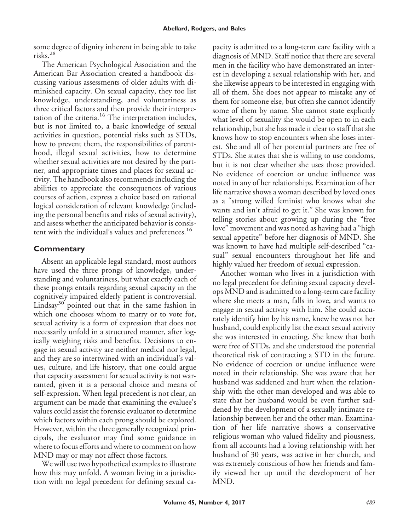some degree of dignity inherent in being able to take risks.<sup>28</sup>

The American Psychological Association and the American Bar Association created a handbook discussing various assessments of older adults with diminished capacity. On sexual capacity, they too list knowledge, understanding, and voluntariness as three critical factors and then provide their interpretation of the criteria.<sup>16</sup> The interpretation includes, but is not limited to, a basic knowledge of sexual activities in question, potential risks such as STDs, how to prevent them, the responsibilities of parenthood, illegal sexual activities, how to determine whether sexual activities are not desired by the partner, and appropriate times and places for sexual activity. The handbook also recommends including the abilities to appreciate the consequences of various courses of action, express a choice based on rational logical consideration of relevant knowledge (including the personal benefits and risks of sexual activity), and assess whether the anticipated behavior is consistent with the individual's values and preferences.<sup>16</sup>

## **Commentary**

Absent an applicable legal standard, most authors have used the three prongs of knowledge, understanding and voluntariness, but what exactly each of these prongs entails regarding sexual capacity in the cognitively impaired elderly patient is controversial. Lindsay<sup>30</sup> pointed out that in the same fashion in which one chooses whom to marry or to vote for, sexual activity is a form of expression that does not necessarily unfold in a structured manner, after logically weighing risks and benefits. Decisions to engage in sexual activity are neither medical nor legal, and they are so intertwined with an individual's values, culture, and life history, that one could argue that capacity assessment for sexual activity is not warranted, given it is a personal choice and means of self-expression. When legal precedent is not clear, an argument can be made that examining the evaluee's values could assist the forensic evaluator to determine which factors within each prong should be explored. However, within the three generally recognized principals, the evaluator may find some guidance in where to focus efforts and where to comment on how MND may or may not affect those factors.

We will use two hypothetical examples to illustrate how this may unfold. A woman living in a jurisdiction with no legal precedent for defining sexual capacity is admitted to a long-term care facility with a diagnosis of MND. Staff notice that there are several men in the facility who have demonstrated an interest in developing a sexual relationship with her, and she likewise appears to be interested in engaging with all of them. She does not appear to mistake any of them for someone else, but often she cannot identify some of them by name. She cannot state explicitly what level of sexuality she would be open to in each relationship, but she has made it clear to staff that she knows how to stop encounters when she loses interest. She and all of her potential partners are free of STDs. She states that she is willing to use condoms, but it is not clear whether she uses those provided. No evidence of coercion or undue influence was noted in any of her relationships. Examination of her life narrative shows a woman described by loved ones as a "strong willed feminist who knows what she wants and isn't afraid to get it." She was known for telling stories about growing up during the "free love" movement and was noted as having had a "high sexual appetite" before her diagnosis of MND. She was known to have had multiple self-described "casual" sexual encounters throughout her life and highly valued her freedom of sexual expression.

Another woman who lives in a jurisdiction with no legal precedent for defining sexual capacity develops MND and is admitted to a long-term care facility where she meets a man, falls in love, and wants to engage in sexual activity with him. She could accurately identify him by his name, knew he was not her husband, could explicitly list the exact sexual activity she was interested in enacting. She knew that both were free of STDs, and she understood the potential theoretical risk of contracting a STD in the future. No evidence of coercion or undue influence were noted in their relationship. She was aware that her husband was saddened and hurt when the relationship with the other man developed and was able to state that her husband would be even further saddened by the development of a sexually intimate relationship between her and the other man. Examination of her life narrative shows a conservative religious woman who valued fidelity and piousness, from all accounts had a loving relationship with her husband of 30 years, was active in her church, and was extremely conscious of how her friends and family viewed her up until the development of her MND.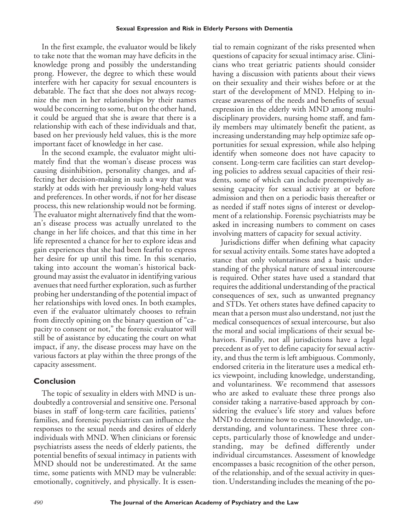In the first example, the evaluator would be likely to take note that the woman may have deficits in the knowledge prong and possibly the understanding prong. However, the degree to which these would interfere with her capacity for sexual encounters is debatable. The fact that she does not always recognize the men in her relationships by their names would be concerning to some, but on the other hand, it could be argued that she is aware that there is a relationship with each of these individuals and that, based on her previously held values, this is the more important facet of knowledge in her case.

In the second example, the evaluator might ultimately find that the woman's disease process was causing disinhibition, personality changes, and affecting her decision-making in such a way that was starkly at odds with her previously long-held values and preferences. In other words, if not for her disease process, this new relationship would not be forming. The evaluator might alternatively find that the woman's disease process was actually unrelated to the change in her life choices, and that this time in her life represented a chance for her to explore ideas and gain experiences that she had been fearful to express her desire for up until this time. In this scenario, taking into account the woman's historical background may assist the evaluator in identifying various avenues that need further exploration, such as further probing her understanding of the potential impact of her relationships with loved ones. In both examples, even if the evaluator ultimately chooses to refrain from directly opining on the binary question of "capacity to consent or not," the forensic evaluator will still be of assistance by educating the court on what impact, if any, the disease process may have on the various factors at play within the three prongs of the capacity assessment.

### **Conclusion**

The topic of sexuality in elders with MND is undoubtedly a controversial and sensitive one. Personal biases in staff of long-term care facilities, patients' families, and forensic psychiatrists can influence the responses to the sexual needs and desires of elderly individuals with MND. When clinicians or forensic psychiatrists assess the needs of elderly patients, the potential benefits of sexual intimacy in patients with MND should not be underestimated. At the same time, some patients with MND may be vulnerable: emotionally, cognitively, and physically. It is essential to remain cognizant of the risks presented when questions of capacity for sexual intimacy arise. Clinicians who treat geriatric patients should consider having a discussion with patients about their views on their sexuality and their wishes before or at the start of the development of MND. Helping to increase awareness of the needs and benefits of sexual expression in the elderly with MND among multidisciplinary providers, nursing home staff, and family members may ultimately benefit the patient, as increasing understanding may help optimize safe opportunities for sexual expression, while also helping identify when someone does not have capacity to consent. Long-term care facilities can start developing policies to address sexual capacities of their residents, some of which can include preemptively assessing capacity for sexual activity at or before admission and then on a periodic basis thereafter or as needed if staff notes signs of interest or development of a relationship. Forensic psychiatrists may be asked in increasing numbers to comment on cases involving matters of capacity for sexual activity.

Jurisdictions differ when defining what capacity for sexual activity entails. Some states have adopted a stance that only voluntariness and a basic understanding of the physical nature of sexual intercourse is required. Other states have used a standard that requires the additional understanding of the practical consequences of sex, such as unwanted pregnancy and STDs. Yet others states have defined capacity to mean that a person must also understand, not just the medical consequences of sexual intercourse, but also the moral and social implications of their sexual behaviors. Finally, not all jurisdictions have a legal precedent as of yet to define capacity for sexual activity, and thus the term is left ambiguous. Commonly, endorsed criteria in the literature uses a medical ethics viewpoint, including knowledge, understanding, and voluntariness. We recommend that assessors who are asked to evaluate these three prongs also consider taking a narrative-based approach by considering the evaluee's life story and values before MND to determine how to examine knowledge, understanding, and voluntariness. These three concepts, particularly those of knowledge and understanding, may be defined differently under individual circumstances. Assessment of knowledge encompasses a basic recognition of the other person, of the relationship, and of the sexual activity in question. Understanding includes the meaning of the po-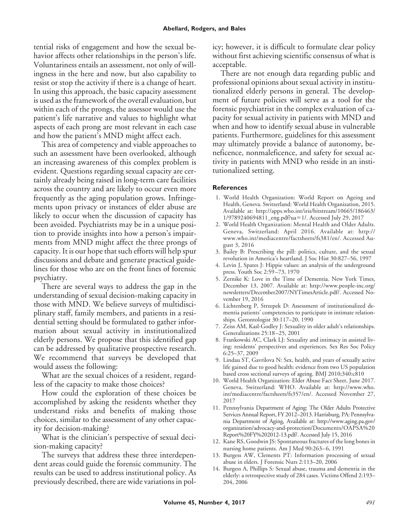tential risks of engagement and how the sexual behavior affects other relationships in the person's life. Voluntariness entails an assessment, not only of willingness in the here and now, but also capability to resist or stop the activity if there is a change of heart. In using this approach, the basic capacity assessment is used as the framework of the overall evaluation, but within each of the prongs, the assessor would use the patient's life narrative and values to highlight what aspects of each prong are most relevant in each case and how the patient's MND might affect each.

This area of competency and viable approaches to such an assessment have been overlooked, although an increasing awareness of this complex problem is evident. Questions regarding sexual capacity are certainly already being raised in long-term care facilities across the country and are likely to occur even more frequently as the aging population grows. Infringements upon privacy or instances of elder abuse are likely to occur when the discussion of capacity has been avoided. Psychiatrists may be in a unique position to provide insights into how a person's impairments from MND might affect the three prongs of capacity. It is our hope that such efforts will help spur discussions and debate and generate practical guidelines for those who are on the front lines of forensic psychiatry.

There are several ways to address the gap in the understanding of sexual decision-making capacity in those with MND. We believe surveys of multidisciplinary staff, family members, and patients in a residential setting should be formulated to gather information about sexual activity in institutionalized elderly persons. We propose that this identified gap can be addressed by qualitative prospective research. We recommend that surveys be developed that would assess the following:

What are the sexual choices of a resident, regardless of the capacity to make those choices?

How could the exploration of these choices be accomplished by asking the residents whether they understand risks and benefits of making those choices, similar to the assessment of any other capacity for decision-making?

What is the clinician's perspective of sexual decision-making capacity?

The surveys that address these three interdependent areas could guide the forensic community. The results can be used to address institutional policy. As previously described, there are wide variations in policy; however, it is difficult to formulate clear policy without first achieving scientific consensus of what is acceptable.

There are not enough data regarding public and professional opinions about sexual activity in institutionalized elderly persons in general. The development of future policies will serve as a tool for the forensic psychiatrist in the complex evaluation of capacity for sexual activity in patients with MND and when and how to identify sexual abuse in vulnerable patients. Furthermore, guidelines for this assessment may ultimately provide a balance of autonomy, beneficence, nonmaleficence, and safety for sexual activity in patients with MND who reside in an institutionalized setting.

#### **References**

- 1. World Health Organization: World Report on Ageing and Health, Geneva. Switzerland: World Health Organization, 2015. Available at: [http://apps.who.int/iris/bitstream/10665/186463/](http://apps.who.int/iris/bitstream/10665/186463/1/9789240694811_eng.pdf?ua=1/) [1/9789240694811\\_eng.pdf?ua](http://apps.who.int/iris/bitstream/10665/186463/1/9789240694811_eng.pdf?ua=1/)=1/. Accessed July 29, 2017
- 2. World Health Organization: Mental Health and Older Adults. Geneva, Switzerland: April 2016. Available at: [http://](http://www.who.int/mediacentre/factsheets/fs381/en/) [www.who.int/mediacentre/factsheets/fs381/en/.](http://www.who.int/mediacentre/factsheets/fs381/en/) Accessed August 3, 2016
- 3. Bailey B: Prescribing the pill: politics, culture, and the sexual revolution in America's heartland. J Soc Hist 30:827–56, 1997
- 4. Levin J, Spates J: Hippie values: an analysis of the underground press. Youth Soc 2:59 –73, 1970
- 5. Zernike K: Love in the Time of Dementia. New York Times, December 13, 2007. Available at: [http://www.people-inc.org/](http://www.people-inc.org/newsletters/December2007/NYTimesArticle.pdf/) [newsletters/December2007/NYTimesArticle.pdf/.](http://www.people-inc.org/newsletters/December2007/NYTimesArticle.pdf/) Accessed November 19, 2016
- 6. Lichtenberg P, Strzepek D: Assessment of institutionalized dementia patients' competencies to participate in intimate relationships. Gerontologist 30:117–20, 1990
- 7. Zeiss AM, Kasl-Godley J: Sexuality in older adult's relationships. Generalizations 25:18 –25, 2001
- 8. Frankowski AC, Clark LJ: Sexuality and intimacy in assisted living: residents' perspectives and experiences. Sex Res Soc Policy 6:25–37, 2009
- 9. Lindau ST, Gavrilova N: Sex, health, and years of sexually active life gained due to good health: evidence from two US population based cross sectional surveys of ageing. BMJ 2010;340:c810
- 10. World Health Organization: Elder Abuse Fact Sheet, June 2017. Geneva, Switzerland: WHO. Available at: [http://www.who.](http://www.who.int/mediacentre/factsheets/fs357/en/) [int/mediacentre/factsheets/fs357/en/.](http://www.who.int/mediacentre/factsheets/fs357/en/) Accessed November 27, 2017
- 11. Pennsylvania Department of Aging: The Older Adults Protective Services Annual Report, FY 2012–2013. Harrisburg, PA: Pennsylvania Department of Aging, Available at: [http://www.aging.pa.gov/](http://www.aging.pa.gov/organization/advocacy-and-protection/Documents/OAPSA%20Report%20FY%202012-13.pdf/) [organization/advocacy-and-protection/Documents/OAPSA%20](http://www.aging.pa.gov/organization/advocacy-and-protection/Documents/OAPSA%20Report%20FY%202012-13.pdf/) [Report%20FY%202012-13.pdf/.](http://www.aging.pa.gov/organization/advocacy-and-protection/Documents/OAPSA%20Report%20FY%202012-13.pdf/) Accessed July 15, 2016
- 12. Kane RS, Goodwin JS: Spontaneous fractures of the long bones in nursing home patients. Am J Med 90:263-6, 1991
- 13. Burgess AW, Clements PT: Information processing of sexual abuse in elders. J Forensic Nurs 2:113–20, 2006
- 14. Burgess A, Phillips S: Sexual abuse, trauma and dementia in the elderly: a retrospective study of 284 cases. Victims Offend 2:193– 204, 2006